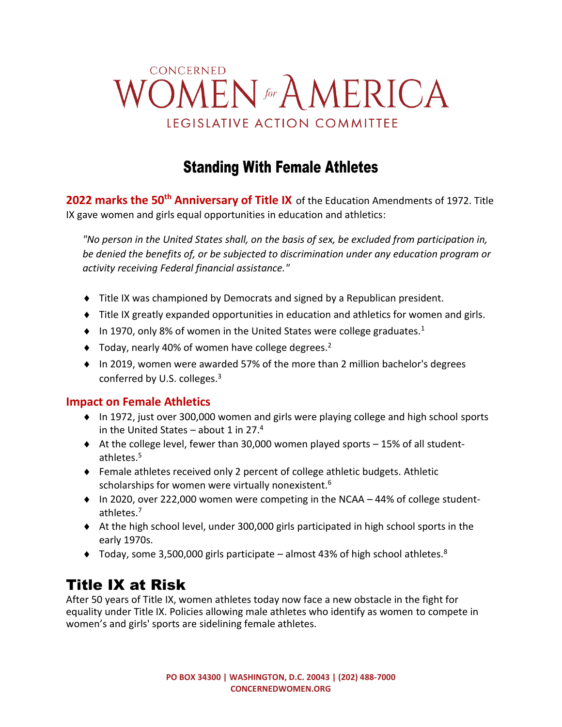# CONCERNED **VOMEN** for AMERICA LEGISLATIVE ACTION COMMITTEE

# Standing With Female Athletes

**2022 marks the 50th Anniversary of Title IX** of the Education Amendments of 1972. Title IX gave women and girls equal opportunities in education and athletics:

*"No person in the United States shall, on the basis of sex, be excluded from participation in, be denied the benefits of, or be subjected to discrimination under any education program or activity receiving Federal financial assistance."*

- Title IX was championed by Democrats and signed by a Republican president.
- Title IX greatly expanded opportunities in education and athletics for women and girls.
- $\bullet$  In 1970, only 8% of women in the United States were college graduates.<sup>1</sup>
- $\blacklozenge$  Today, nearly 40% of women have college degrees.<sup>2</sup>
- $\bullet$  In 2019, women were awarded 57% of the more than 2 million bachelor's degrees conferred by U.S. colleges.<sup>3</sup>

#### **Impact on Female Athletics**

- ◆ In 1972, just over 300,000 women and girls were playing college and high school sports in the United States – about 1 in 27. $4$
- $\triangleleft$  At the college level, fewer than 30,000 women played sports  $-15\%$  of all studentathletes. 5
- Female athletes received only 2 percent of college athletic budgets. Athletic scholarships for women were virtually nonexistent.<sup>6</sup>
- ◆ In 2020, over 222,000 women were competing in the NCAA 44% of college studentathletes. 7
- $\triangleq$  At the high school level, under 300,000 girls participated in high school sports in the early 1970s.
- ◆ Today, some 3,500,000 girls participate almost 43% of high school athletes.<sup>8</sup>

### Title IX at Risk

After 50 years of Title IX, women athletes today now face a new obstacle in the fight for equality under Title IX. Policies allowing male athletes who identify as women to compete in women's and girls' sports are sidelining female athletes.